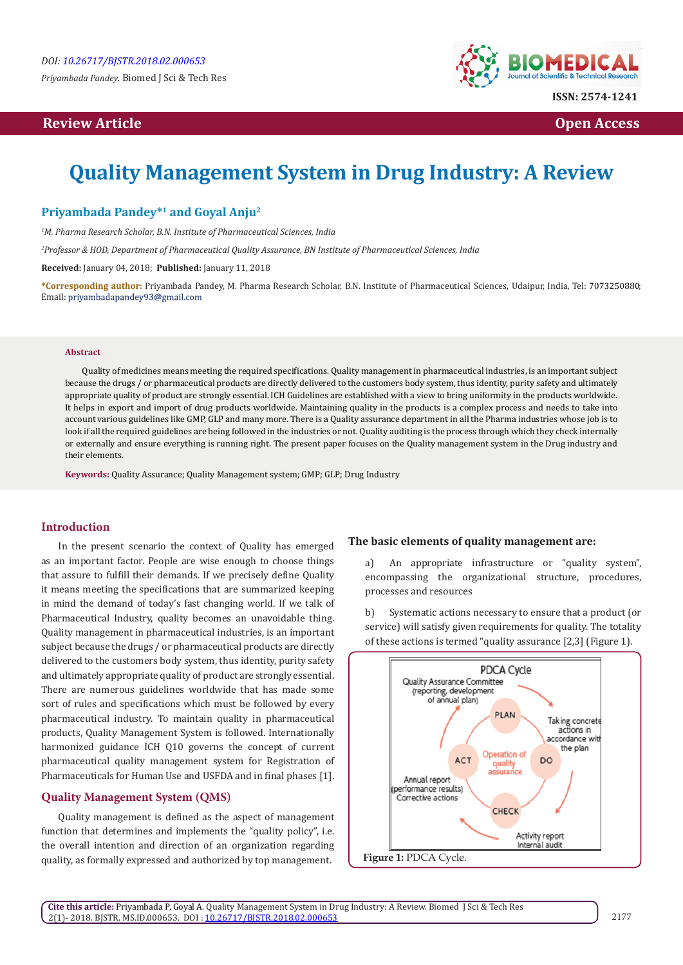*Priyambada Pandey.* Biomed J Sci & Tech Res

# **Review Article Open Access**



# **Quality Management System in Drug Industry: A Review**

# **Priyambada Pandey\*1 and Goyal Anju2**

*1 M. Pharma Research Scholar, B.N. Institute of Pharmaceutical Sciences, India*

*2 Professor & HOD, Department of Pharmaceutical Quality Assurance, BN Institute of Pharmaceutical Sciences, India*

**Received:** January 04, 2018; **Published:** January 11, 2018

**\*Corresponding author:** Priyambada Pandey, M. Pharma Research Scholar, B.N. Institute of Pharmaceutical Sciences, Udaipur, India, Tel: ; Email: privambadapandev93@gmail.com

#### **Abstract**

Quality of medicines means meeting the required specifications. Quality management in pharmaceutical industries, is an important subject because the drugs / or pharmaceutical products are directly delivered to the customers body system, thus identity, purity safety and ultimately appropriate quality of product are strongly essential. ICH Guidelines are established with a view to bring uniformity in the products worldwide. It helps in export and import of drug products worldwide. Maintaining quality in the products is a complex process and needs to take into account various guidelines like GMP, GLP and many more. There is a Quality assurance department in all the Pharma industries whose job is to look if all the required guidelines are being followed in the industries or not. Quality auditing is the process through which they check internally or externally and ensure everything is running right. The present paper focuses on the Quality management system in the Drug industry and their elements.

**Keywords:** Quality Assurance; Quality Management system; GMP; GLP; Drug Industry

### **Introduction**

In the present scenario the context of Quality has emerged as an important factor. People are wise enough to choose things that assure to fulfill their demands. If we precisely define Quality it means meeting the specifications that are summarized keeping in mind the demand of today's fast changing world. If we talk of Pharmaceutical Industry, quality becomes an unavoidable thing. Quality management in pharmaceutical industries, is an important subject because the drugs / or pharmaceutical products are directly delivered to the customers body system, thus identity, purity safety and ultimately appropriate quality of product are strongly essential. There are numerous guidelines worldwide that has made some sort of rules and specifications which must be followed by every pharmaceutical industry. To maintain quality in pharmaceutical products, Quality Management System is followed. Internationally harmonized guidance ICH Q10 governs the concept of current pharmaceutical quality management system for Registration of Pharmaceuticals for Human Use and USFDA and in final phases [1].

# **Quality Management System (QMS)**

Quality management is defined as the aspect of management function that determines and implements the "quality policy", i.e. the overall intention and direction of an organization regarding quality, as formally expressed and authorized by top management.

#### **The basic elements of quality management are:**

a) An appropriate infrastructure or "quality system", encompassing the organizational structure, procedures, processes and resources

b) Systematic actions necessary to ensure that a product (or service) will satisfy given requirements for quality. The totality of these actions is termed "quality assurance [2,3] (Figure 1).

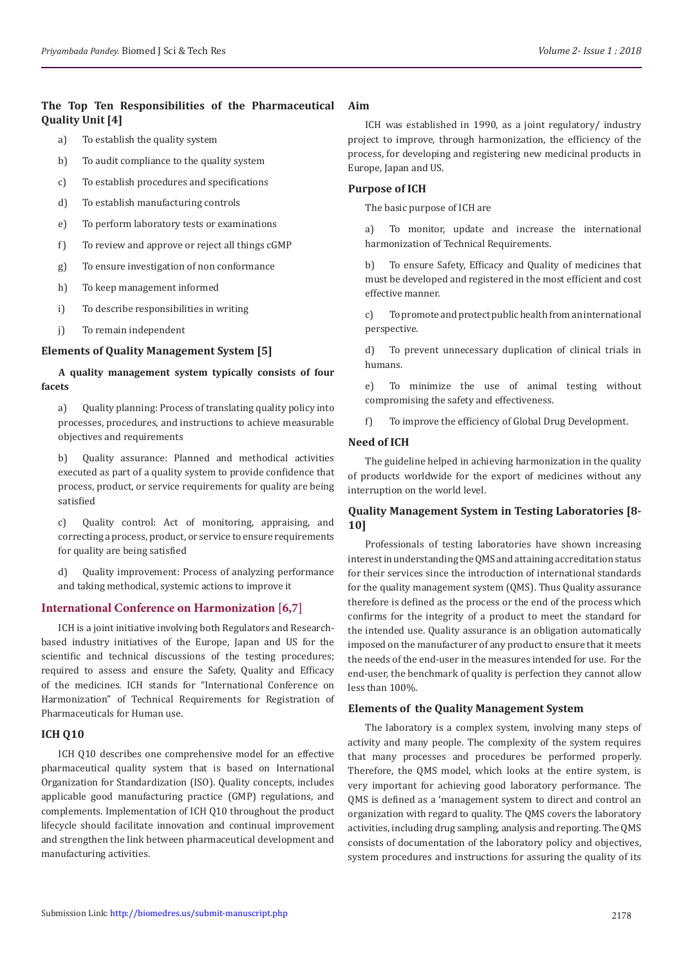# **The Top Ten Responsibilities of the Pharmaceutical Quality Unit [4]**

- a) To establish the quality system
- b) To audit compliance to the quality system
- c) To establish procedures and specifications
- d) To establish manufacturing controls
- e) To perform laboratory tests or examinations
- f) To review and approve or reject all things cGMP
- g) To ensure investigation of non conformance
- h) To keep management informed
- i) To describe responsibilities in writing
- j) To remain independent

## **Elements of Quality Management System [5]**

## **A quality management system typically consists of four facets**

a) Quality planning: Process of translating quality policy into processes, procedures, and instructions to achieve measurable objectives and requirements

b) Quality assurance: Planned and methodical activities executed as part of a quality system to provide confidence that process, product, or service requirements for quality are being satisfied

c) Quality control: Act of monitoring, appraising, and correcting a process, product, or service to ensure requirements for quality are being satisfied

d) Quality improvement: Process of analyzing performance and taking methodical, systemic actions to improve it

# **International Conference on Harmonization [6,7]**

ICH is a joint initiative involving both Regulators and Researchbased industry initiatives of the Europe, Japan and US for the scientific and technical discussions of the testing procedures; required to assess and ensure the Safety, Quality and Efficacy of the medicines. ICH stands for "International Conference on Harmonization" of Technical Requirements for Registration of Pharmaceuticals for Human use.

## **ICH Q10**

ICH Q10 describes one comprehensive model for an effective pharmaceutical quality system that is based on International Organization for Standardization (ISO). Quality concepts, includes applicable good manufacturing practice (GMP) regulations, and complements. Implementation of ICH Q10 throughout the product lifecycle should facilitate innovation and continual improvement and strengthen the link between pharmaceutical development and manufacturing activities.

## **Aim**

ICH was established in 1990, as a joint regulatory/ industry project to improve, through harmonization, the efficiency of the process, for developing and registering new medicinal products in Europe, Japan and US.

## **Purpose of ICH**

The basic purpose of ICH are

a) To monitor, update and increase the international harmonization of Technical Requirements.

b) To ensure Safety, Efficacy and Quality of medicines that must be developed and registered in the most efficient and cost effective manner.

c) To promote and protect public health from an international perspective.

d) To prevent unnecessary duplication of clinical trials in humans.

e) To minimize the use of animal testing without compromising the safety and effectiveness.

f) To improve the efficiency of Global Drug Development.

# **Need of ICH**

The guideline helped in achieving harmonization in the quality of products worldwide for the export of medicines without any interruption on the world level.

# **Quality Management System in Testing Laboratories [8- 10]**

Professionals of testing laboratories have shown increasing interest in understanding the QMS and attaining accreditation status for their services since the introduction of international standards for the quality management system (QMS). Thus Quality assurance therefore is defined as the process or the end of the process which confirms for the integrity of a product to meet the standard for the intended use. Quality assurance is an obligation automatically imposed on the manufacturer of any product to ensure that it meets the needs of the end-user in the measures intended for use. For the end-user, the benchmark of quality is perfection they cannot allow less than 100%.

## **Elements of the Quality Management System**

The laboratory is a complex system, involving many steps of activity and many people. The complexity of the system requires that many processes and procedures be performed properly. Therefore, the QMS model, which looks at the entire system, is very important for achieving good laboratory performance. The QMS is defined as a 'management system to direct and control an organization with regard to quality. The QMS covers the laboratory activities, including drug sampling, analysis and reporting. The QMS consists of documentation of the laboratory policy and objectives, system procedures and instructions for assuring the quality of its